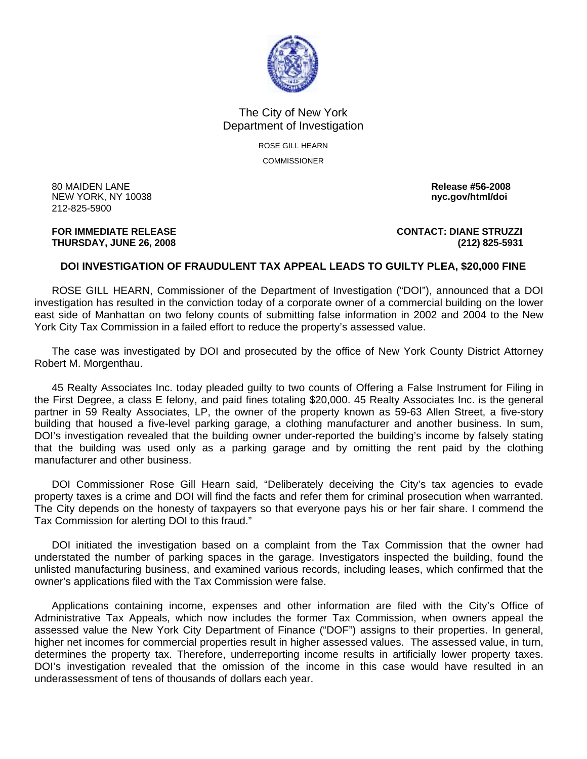

## The City of New York Department of Investigation

ROSE GILL HEARN **COMMISSIONER** 

80 MAIDEN LANE **Release #56-2008**  NEW YORK, NY 10038 **nyc.gov/html/doi**  212-825-5900

**FOR IMMEDIATE RELEASE CONTACT: DIANE STRUZZI THURSDAY, JUNE 26, 2008 (212) 825-5931**

## **DOI INVESTIGATION OF FRAUDULENT TAX APPEAL LEADS TO GUILTY PLEA, \$20,000 FINE**

 ROSE GILL HEARN, Commissioner of the Department of Investigation ("DOI"), announced that a DOI investigation has resulted in the conviction today of a corporate owner of a commercial building on the lower east side of Manhattan on two felony counts of submitting false information in 2002 and 2004 to the New York City Tax Commission in a failed effort to reduce the property's assessed value.

 The case was investigated by DOI and prosecuted by the office of New York County District Attorney Robert M. Morgenthau.

 45 Realty Associates Inc. today pleaded guilty to two counts of Offering a False Instrument for Filing in the First Degree, a class E felony, and paid fines totaling \$20,000. 45 Realty Associates Inc. is the general partner in 59 Realty Associates, LP, the owner of the property known as 59-63 Allen Street, a five-story building that housed a five-level parking garage, a clothing manufacturer and another business. In sum, DOI's investigation revealed that the building owner under-reported the building's income by falsely stating that the building was used only as a parking garage and by omitting the rent paid by the clothing manufacturer and other business.

 DOI Commissioner Rose Gill Hearn said, "Deliberately deceiving the City's tax agencies to evade property taxes is a crime and DOI will find the facts and refer them for criminal prosecution when warranted. The City depends on the honesty of taxpayers so that everyone pays his or her fair share. I commend the Tax Commission for alerting DOI to this fraud."

 DOI initiated the investigation based on a complaint from the Tax Commission that the owner had understated the number of parking spaces in the garage. Investigators inspected the building, found the unlisted manufacturing business, and examined various records, including leases, which confirmed that the owner's applications filed with the Tax Commission were false.

 Applications containing income, expenses and other information are filed with the City's Office of Administrative Tax Appeals, which now includes the former Tax Commission, when owners appeal the assessed value the New York City Department of Finance ("DOF") assigns to their properties. In general, higher net incomes for commercial properties result in higher assessed values. The assessed value, in turn, determines the property tax. Therefore, underreporting income results in artificially lower property taxes. DOI's investigation revealed that the omission of the income in this case would have resulted in an underassessment of tens of thousands of dollars each year.